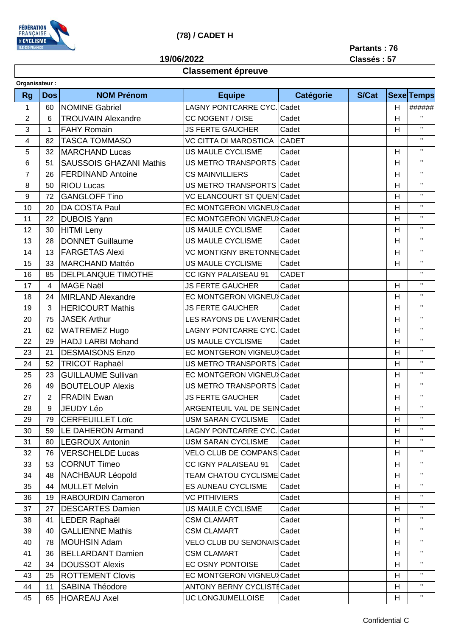

## **(78) / CADET H**

**Partants : 76**

**Classés : 57**

## **19/06/2022**

## **Classement épreuve**

| Organisateur:  |                |                                |                                    |              |              |    |                   |
|----------------|----------------|--------------------------------|------------------------------------|--------------|--------------|----|-------------------|
| <b>Rg</b>      | <b>Dos</b>     | <b>NOM Prénom</b>              | <b>Equipe</b>                      | Catégorie    | <b>S/Cat</b> |    | <b>Sexe Temps</b> |
| $\mathbf{1}$   | 60             | <b>NOMINE Gabriel</b>          | LAGNY PONTCARRE CYC. Cadet         |              |              | H. | ######            |
| $\overline{2}$ | 6              | <b>TROUVAIN Alexandre</b>      | CC NOGENT / OISE<br>Cadet          |              |              | H  | $\mathbf{H}$      |
| 3              | $\mathbf{1}$   | <b>FAHY Romain</b>             | <b>JS FERTE GAUCHER</b>            | Cadet        |              | H  | $\mathbf H$       |
| 4              | 82             | <b>TASCA TOMMASO</b>           | <b>VC CITTA DI MAROSTICA</b>       | <b>CADET</b> |              |    | $\mathbf{H}$      |
| 5              | 32             | <b>MARCHAND Lucas</b>          | <b>US MAULE CYCLISME</b>           | Cadet        |              | H  | $\mathbf{H}$      |
| 6              | 51             | <b>SAUSSOIS GHAZANI Mathis</b> | US METRO TRANSPORTS<br>Cadet       |              |              | H  | $\mathbf{H}$      |
| $\overline{7}$ | 26             | <b>FERDINAND Antoine</b>       | <b>CS MAINVILLIERS</b>             | Cadet        |              | H  | $\mathbf{H}$      |
| 8              | 50             | <b>RIOU Lucas</b>              | US METRO TRANSPORTS Cadet          |              |              | H  | $\mathbf{H}$      |
| 9              | 72             | <b>GANGLOFF Tino</b>           | VC ELANCOURT ST QUEN Cadet         |              |              | H  | $\mathbf{H}$      |
| 10             | 20             | DA COSTA Paul                  | EC MONTGERON VIGNEUX Cadet         |              |              | H  | $\mathbf{H}$      |
| 11             | 22             | <b>DUBOIS Yann</b>             | EC MONTGERON VIGNEUX Cadet         |              |              | Н  | $\mathbf{H}$      |
| 12             | 30             | <b>HITMI Leny</b>              | US MAULE CYCLISME                  | Cadet        |              | H  | $\mathbf H$       |
| 13             | 28             | <b>DONNET Guillaume</b>        | US MAULE CYCLISME                  | Cadet        |              | H  | $\mathbf H$       |
| 14             | 13             | <b>FARGETAS Alexi</b>          | VC MONTIGNY BRETONNE Cadet         |              |              | H  | $\mathbf H$       |
| 15             | 33             | <b>MARCHAND Mattéo</b>         | US MAULE CYCLISME                  | Cadet        |              | H  | $\mathbf{H}$      |
| 16             | 85             | DELPLANQUE TIMOTHE             | CC IGNY PALAISEAU 91               | <b>CADET</b> |              |    | $\mathbf{H}$      |
| 17             | 4              | <b>MAGE Naël</b>               | <b>JS FERTE GAUCHER</b>            | Cadet        |              | н  | $\mathbf{H}$      |
| 18             | 24             | <b>MIRLAND Alexandre</b>       | EC MONTGERON VIGNEUX Cadet         |              |              | Н  | $\mathbf H$       |
| 19             | 3              | <b>HERICOURT Mathis</b>        | <b>JS FERTE GAUCHER</b>            | Cadet        |              | H  | $\mathbf{H}$      |
| 20             | 75             | <b>JASEK Arthur</b>            | LES RAYONS DE L'AVENIRCadet        |              |              | H  | $\mathbf{H}$      |
| 21             | 62             | <b>WATREMEZ Hugo</b>           | <b>LAGNY PONTCARRE CYC. Cadet</b>  |              |              | H  | $\mathbf{H}$      |
| 22             | 29             | <b>HADJ LARBI Mohand</b>       | <b>US MAULE CYCLISME</b>           | Cadet        |              | H  | $\mathbf{H}$      |
| 23             | 21             | <b>DESMAISONS Enzo</b>         | EC MONTGERON VIGNEUX Cadet         |              |              | H  | $\mathbf{H}$      |
| 24             | 52             | <b>TRICOT Raphaël</b>          | US METRO TRANSPORTS Cadet          |              |              | н  | $\mathbf{H}$      |
| 25             | 23             | <b>GUILLAUME Sullivan</b>      | EC MONTGERON VIGNEUX Cadet         |              |              | H  | $\mathbf H$       |
| 26             | 49             | <b>BOUTELOUP Alexis</b>        | US METRO TRANSPORTS Cadet          |              |              | H  | $\mathbf{H}$      |
| 27             | $\overline{2}$ | <b>FRADIN Ewan</b>             | <b>JS FERTE GAUCHER</b>            | Cadet        |              | H  | $\mathbf{H}$      |
| 28             | 9              | <b>JEUDY Léo</b>               | ARGENTEUIL VAL DE SEIN Cadet       |              |              | H  | $\mathbf{H}$      |
| 29             | 79             | <b>CERFEUILLET Loïc</b>        | USM SARAN CYCLISME                 | Cadet        |              | H  | $\mathbf{H}$      |
| 30             | 59             | <b>LE DAHERON Armand</b>       | <b>LAGNY PONTCARRE CYC. Cadet</b>  |              |              | н  | $\mathbf{H}$      |
| 31             | 80             | <b>LEGROUX Antonin</b>         | <b>USM SARAN CYCLISME</b>          | Cadet        |              | H  | $\mathbf H$       |
| 32             | 76             | <b>VERSCHELDE Lucas</b>        | VELO CLUB DE COMPANS Cadet         |              |              | H  | $\mathbf{H}$      |
| 33             | 53             | <b>CORNUT Timeo</b>            | CC IGNY PALAISEAU 91               | Cadet        |              | H  | $\mathbf{H}$      |
| 34             | 48             | <b>NACHBAUR Léopold</b>        | TEAM CHATOU CYCLISME Cadet         |              |              | H  | $\mathbf{H}$      |
| 35             | 44             | <b>MULLET Melvin</b>           | <b>ES AUNEAU CYCLISME</b>          | Cadet        |              | Н  | $\mathbf{H}$      |
| 36             | 19             | <b>RABOURDIN Cameron</b>       | <b>VC PITHIVIERS</b>               | Cadet        |              | H  | $\mathbf{H}$      |
| 37             | 27             | <b>DESCARTES Damien</b>        | US MAULE CYCLISME                  | Cadet        |              | H  | $\mathbf{H}$      |
| 38             | 41             | LEDER Raphaël                  | <b>CSM CLAMART</b>                 | Cadet        |              | H. | $\mathbf{H}$      |
| 39             | 40             | <b>GALLIENNE Mathis</b>        | <b>CSM CLAMART</b>                 | Cadet        |              | н  | П.                |
| 40             | 78             | <b>MOUHSIN Adam</b>            | VELO CLUB DU SENONAIS Cadet        |              |              | H  | $\mathbf H$       |
| 41             | 36             | <b>BELLARDANT Damien</b>       | <b>CSM CLAMART</b>                 | Cadet        |              | H  | п.                |
| 42             | 34             | <b>DOUSSOT Alexis</b>          | EC OSNY PONTOISE                   | Cadet        |              | H  | $\mathbf{H}$      |
| 43             | 25             | <b>ROTTEMENT Clovis</b>        | EC MONTGERON VIGNEUX Cadet         |              |              | н  | $\mathbf H$       |
| 44             | 11             | SABINA Théodore                | <b>ANTONY BERNY CYCLISTE Cadet</b> |              |              | H  | $\mathbf H$       |
| 45             | 65             | <b>HOAREAU Axel</b>            | UC LONGJUMELLOISE                  | Cadet        |              | H  | $\mathbf H$       |